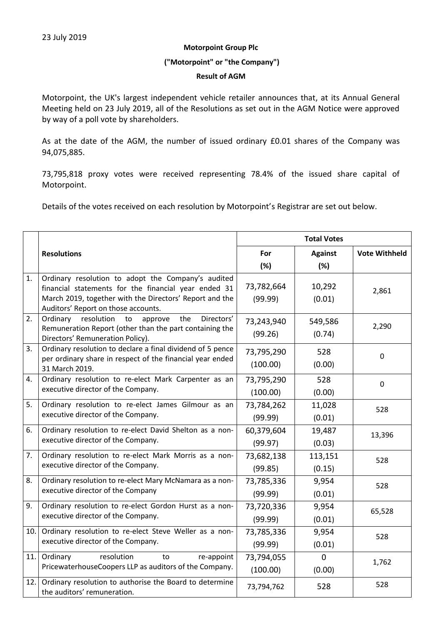## **Motorpoint Group Plc**

# **("Motorpoint" or "the Company")**

## **Result of AGM**

Motorpoint, the UK's largest independent vehicle retailer announces that, at its Annual General Meeting held on 23 July 2019, all of the Resolutions as set out in the AGM Notice were approved by way of a poll vote by shareholders.

As at the date of the AGM, the number of issued ordinary £0.01 shares of the Company was 94,075,885.

73,795,818 proxy votes were received representing 78.4% of the issued share capital of Motorpoint.

Details of the votes received on each resolution by Motorpoint's Registrar are set out below.

|     |                                                                                                                                                                                                              | <b>Total Votes</b>     |                          |                      |  |
|-----|--------------------------------------------------------------------------------------------------------------------------------------------------------------------------------------------------------------|------------------------|--------------------------|----------------------|--|
|     | <b>Resolutions</b>                                                                                                                                                                                           | For                    | <b>Against</b>           | <b>Vote Withheld</b> |  |
|     |                                                                                                                                                                                                              | (%)                    | (%)                      |                      |  |
| 1.  | Ordinary resolution to adopt the Company's audited<br>financial statements for the financial year ended 31<br>March 2019, together with the Directors' Report and the<br>Auditors' Report on those accounts. | 73,782,664<br>(99.99)  | 10,292<br>(0.01)         | 2,861                |  |
| 2.  | Directors'<br>resolution<br>the<br>Ordinary<br>to<br>approve<br>Remuneration Report (other than the part containing the<br>Directors' Remuneration Policy).                                                  | 73,243,940<br>(99.26)  | 549,586<br>(0.74)        | 2,290                |  |
| 3.  | Ordinary resolution to declare a final dividend of 5 pence<br>per ordinary share in respect of the financial year ended<br>31 March 2019.                                                                    | 73,795,290<br>(100.00) | 528<br>(0.00)            | $\mathbf 0$          |  |
| 4.  | Ordinary resolution to re-elect Mark Carpenter as an<br>executive director of the Company.                                                                                                                   | 73,795,290<br>(100.00) | 528<br>(0.00)            | $\pmb{0}$            |  |
| 5.  | Ordinary resolution to re-elect James Gilmour as an<br>executive director of the Company.                                                                                                                    | 73,784,262<br>(99.99)  | 11,028<br>(0.01)         | 528                  |  |
| 6.  | Ordinary resolution to re-elect David Shelton as a non-<br>executive director of the Company.                                                                                                                | 60,379,604<br>(99.97)  | 19,487<br>(0.03)         | 13,396               |  |
| 7.  | Ordinary resolution to re-elect Mark Morris as a non-<br>executive director of the Company.                                                                                                                  | 73,682,138<br>(99.85)  | 113,151<br>(0.15)        | 528                  |  |
| 8.  | Ordinary resolution to re-elect Mary McNamara as a non-<br>executive director of the Company                                                                                                                 | 73,785,336<br>(99.99)  | 9,954<br>(0.01)          | 528                  |  |
| 9.  | Ordinary resolution to re-elect Gordon Hurst as a non-<br>executive director of the Company.                                                                                                                 | 73,720,336<br>(99.99)  | 9,954<br>(0.01)          | 65,528               |  |
| 10. | Ordinary resolution to re-elect Steve Weller as a non-<br>executive director of the Company.                                                                                                                 | 73,785,336<br>(99.99)  | 9,954<br>(0.01)          | 528                  |  |
| 11. | Ordinary<br>resolution<br>to<br>re-appoint<br>PricewaterhouseCoopers LLP as auditors of the Company.                                                                                                         | 73,794,055<br>(100.00) | $\overline{0}$<br>(0.00) | 1,762                |  |
| 12. | Ordinary resolution to authorise the Board to determine<br>the auditors' remuneration.                                                                                                                       | 73,794,762             | 528                      | 528                  |  |